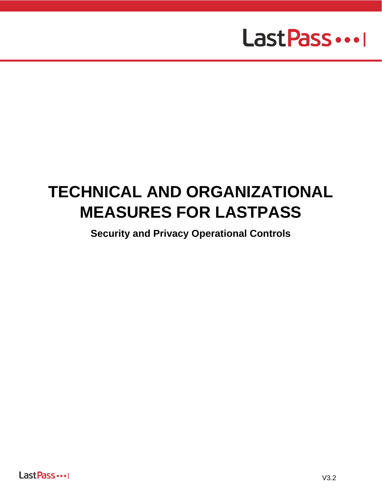# Last Pass ...

# **TECHNICAL AND ORGANIZATIONAL MEASURES FOR LASTPASS**

**Security and Privacy Operational Controls**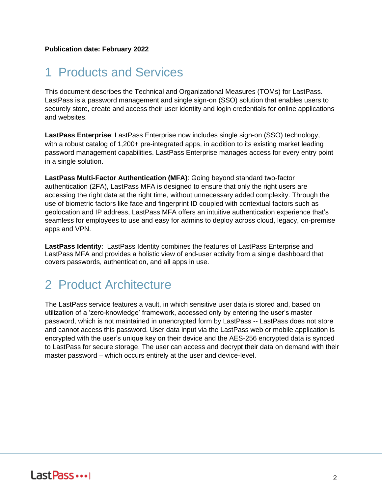# 1 Products and Services

This document describes the Technical and Organizational Measures (TOMs) for LastPass. LastPass is a password management and single sign-on (SSO) solution that enables users to securely store, create and access their user identity and login credentials for online applications and websites.

**LastPass Enterprise**: LastPass Enterprise now includes single sign-on (SSO) technology, with a robust catalog of 1,200+ pre-integrated apps, in addition to its existing market leading password management capabilities. LastPass Enterprise manages access for every entry point in a single solution.

**LastPass Multi-Factor Authentication (MFA)**: Going beyond standard two-factor authentication (2FA), LastPass MFA is designed to ensure that only the right users are accessing the right data at the right time, without unnecessary added complexity. Through the use of biometric factors like face and fingerprint ID coupled with contextual factors such as geolocation and IP address, LastPass MFA offers an intuitive authentication experience that's seamless for employees to use and easy for admins to deploy across cloud, legacy, on-premise apps and VPN.

**LastPass Identity**: LastPass Identity combines the features of LastPass Enterprise and LastPass MFA and provides a holistic view of end-user activity from a single dashboard that covers passwords, authentication, and all apps in use.

# 2 Product Architecture

The LastPass service features a vault, in which sensitive user data is stored and, based on utilization of a 'zero-knowledge' framework, accessed only by entering the user's master password, which is not maintained in unencrypted form by LastPass -- LastPass does not store and cannot access this password. User data input via the LastPass web or mobile application is encrypted with the user's unique key on their device and the AES-256 encrypted data is synced to LastPass for secure storage. The user can access and decrypt their data on demand with their master password – which occurs entirely at the user and device-level.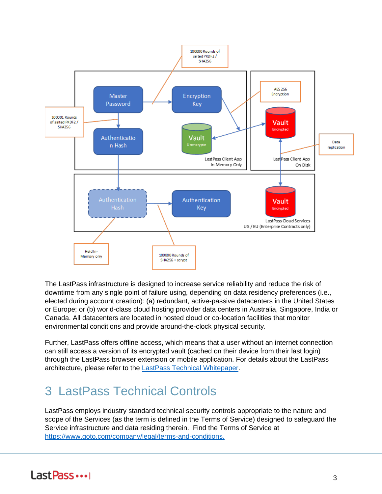

The LastPass infrastructure is designed to increase service reliability and reduce the risk of downtime from any single point of failure using, depending on data residency preferences (i.e., elected during account creation): (a) redundant, active-passive datacenters in the United States or Europe; or (b) world-class cloud hosting provider data centers in Australia, Singapore, India or Canada. All datacenters are located in hosted cloud or co-location facilities that monitor environmental conditions and provide around-the-clock physical security.

Further, LastPass offers offline access, which means that a user without an internet connection can still access a version of its encrypted vault (cached on their device from their last login) through the LastPass browser extension or mobile application. For details about the LastPass architecture, please refer to the [LastPass Technical Whitepaper.](https://www.lastpass.com/-/media/88a42919fbc646e6966f64c37fbd29ee.pdf)

# 3 LastPass Technical Controls

LastPass employs industry standard technical security controls appropriate to the nature and scope of the Services (as the term is defined in the Terms of Service) designed to safeguard the Service infrastructure and data residing therein. Find the Terms of Service a[t](http://www.logmein.com/legal/terms-and-conditions) [https://www.goto.com/company/legal/terms-and-conditions.](https://www.goto.com/company/legal/terms-and-conditions)

# Last Pass ...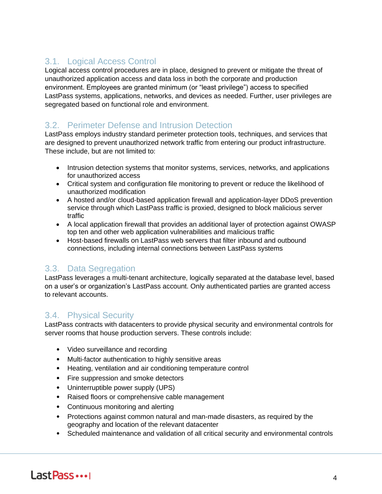## 3.1. Logical Access Control

Logical access control procedures are in place, designed to prevent or mitigate the threat of unauthorized application access and data loss in both the corporate and production environment. Employees are granted minimum (or "least privilege") access to specified LastPass systems, applications, networks, and devices as needed. Further, user privileges are segregated based on functional role and environment.

#### 3.2. Perimeter Defense and Intrusion Detection

LastPass employs industry standard perimeter protection tools, techniques, and services that are designed to prevent unauthorized network traffic from entering our product infrastructure. These include, but are not limited to:

- Intrusion detection systems that monitor systems, services, networks, and applications for unauthorized access
- Critical system and configuration file monitoring to prevent or reduce the likelihood of unauthorized modification
- A hosted and/or cloud-based application firewall and application-layer DDoS prevention service through which LastPass traffic is proxied, designed to block malicious server traffic
- A local application firewall that provides an additional layer of protection against OWASP top ten and other web application vulnerabilities and malicious traffic
- Host-based firewalls on LastPass web servers that filter inbound and outbound connections, including internal connections between LastPass systems

#### 3.3. Data Segregation

LastPass leverages a multi-tenant architecture, logically separated at the database level, based on a user's or organization's LastPass account. Only authenticated parties are granted access to relevant accounts.

#### 3.4. Physical Security

LastPass contracts with datacenters to provide physical security and environmental controls for server rooms that house production servers. These controls include:

- Video surveillance and recording
- Multi-factor authentication to highly sensitive areas
- Heating, ventilation and air conditioning temperature control
- Fire suppression and smoke detectors
- Uninterruptible power supply (UPS)
- Raised floors or comprehensive cable management
- Continuous monitoring and alerting
- Protections against common natural and man-made disasters, as required by the geography and location of the relevant datacenter
- Scheduled maintenance and validation of all critical security and environmental controls

# Last Pass ...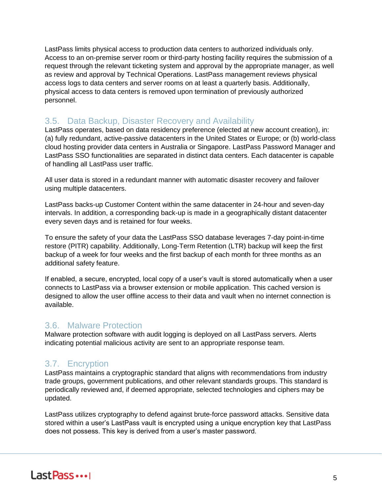LastPass limits physical access to production data centers to authorized individuals only. Access to an on-premise server room or third-party hosting facility requires the submission of a request through the relevant ticketing system and approval by the appropriate manager, as well as review and approval by Technical Operations. LastPass management reviews physical access logs to data centers and server rooms on at least a quarterly basis. Additionally, physical access to data centers is removed upon termination of previously authorized personnel.

#### 3.5. Data Backup, Disaster Recovery and Availability

LastPass operates, based on data residency preference (elected at new account creation), in: (a) fully redundant, active-passive datacenters in the United States or Europe; or (b) world-class cloud hosting provider data centers in Australia or Singapore. LastPass Password Manager and LastPass SSO functionalities are separated in distinct data centers. Each datacenter is capable of handling all LastPass user traffic.

All user data is stored in a redundant manner with automatic disaster recovery and failover using multiple datacenters.

LastPass backs-up Customer Content within the same datacenter in 24-hour and seven-day intervals. In addition, a corresponding back-up is made in a geographically distant datacenter every seven days and is retained for four weeks.

To ensure the safety of your data the LastPass SSO database leverages 7-day point-in-time restore (PITR) capability. Additionally, Long-Term Retention (LTR) backup will keep the first backup of a week for four weeks and the first backup of each month for three months as an additional safety feature.

If enabled, a secure, encrypted, local copy of a user's vault is stored automatically when a user connects to LastPass via a browser extension or mobile application. This cached version is designed to allow the user offline access to their data and vault when no internet connection is available.

#### 3.6. Malware Protection

Malware protection software with audit logging is deployed on all LastPass servers. Alerts indicating potential malicious activity are sent to an appropriate response team.

### 3.7. Encryption

LastPass maintains a cryptographic standard that aligns with recommendations from industry trade groups, government publications, and other relevant standards groups. This standard is periodically reviewed and, if deemed appropriate, selected technologies and ciphers may be updated.

LastPass utilizes cryptography to defend against brute-force password attacks. Sensitive data stored within a user's LastPass vault is encrypted using a unique encryption key that LastPass does not possess. This key is derived from a user's master password.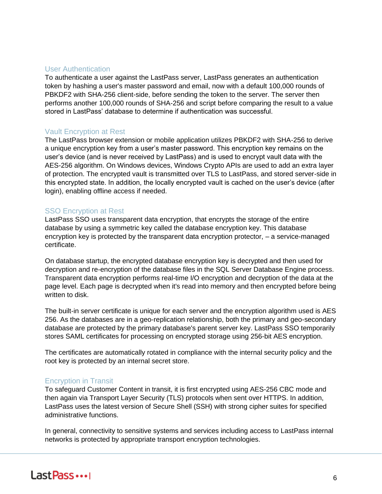#### User Authentication

To authenticate a user against the LastPass server, LastPass generates an authentication token by hashing a user's master password and email, now with a default 100,000 rounds of PBKDF2 with SHA-256 client-side, before sending the token to the server. The server then performs another 100,000 rounds of SHA-256 and script before comparing the result to a value stored in LastPass' database to determine if authentication was successful.

#### Vault Encryption at Rest

The LastPass browser extension or mobile application utilizes PBKDF2 with SHA-256 to derive a unique encryption key from a user's master password. This encryption key remains on the user's device (and is never received by LastPass) and is used to encrypt vault data with the AES-256 algorithm. On Windows devices, Windows Crypto APIs are used to add an extra layer of protection. The encrypted vault is transmitted over TLS to LastPass, and stored server-side in this encrypted state. In addition, the locally encrypted vault is cached on the user's device (after login), enabling offline access if needed.

#### SSO Encryption at Rest

LastPass SSO uses transparent data encryption, that encrypts the storage of the entire database by using a symmetric key called the database encryption key. This database encryption key is protected by the transparent data encryption protector, – a service-managed certificate.

On database startup, the encrypted database encryption key is decrypted and then used for decryption and re-encryption of the database files in the SQL Server Database Engine process. Transparent data encryption performs real-time I/O encryption and decryption of the data at the page level. Each page is decrypted when it's read into memory and then encrypted before being written to disk.

The built-in server certificate is unique for each server and the encryption algorithm used is AES 256. As the databases are in a geo-replication relationship, both the primary and geo-secondary database are protected by the primary database's parent server key. LastPass SSO temporarily stores SAML certificates for processing on encrypted storage using 256-bit AES encryption.

The certificates are automatically rotated in compliance with the internal security policy and the root key is protected by an internal secret store.

#### Encryption in Transit

To safeguard Customer Content in transit, it is first encrypted using AES-256 CBC mode and then again via Transport Layer Security (TLS) protocols when sent over HTTPS. In addition, LastPass uses the latest version of Secure Shell (SSH) with strong cipher suites for specified administrative functions.

In general, connectivity to sensitive systems and services including access to LastPass internal networks is protected by appropriate transport encryption technologies.

# Last Pass ...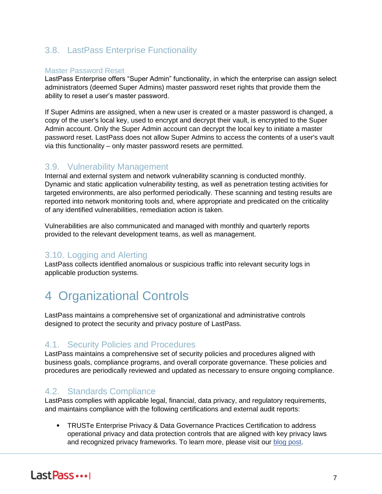### 3.8. LastPass Enterprise Functionality

#### Master Password Reset

LastPass Enterprise offers "Super Admin" functionality, in which the enterprise can assign select administrators (deemed Super Admins) master password reset rights that provide them the ability to reset a user's master password.

If Super Admins are assigned, when a new user is created or a master password is changed, a copy of the user's local key, used to encrypt and decrypt their vault, is encrypted to the Super Admin account. Only the Super Admin account can decrypt the local key to initiate a master password reset. LastPass does not allow Super Admins to access the contents of a user's vault via this functionality – only master password resets are permitted.

#### 3.9. Vulnerability Management

Internal and external system and network vulnerability scanning is conducted monthly. Dynamic and static application vulnerability testing, as well as penetration testing activities for targeted environments, are also performed periodically. These scanning and testing results are reported into network monitoring tools and, where appropriate and predicated on the criticality of any identified vulnerabilities, remediation action is taken.

Vulnerabilities are also communicated and managed with monthly and quarterly reports provided to the relevant development teams, as well as management.

### 3.10. Logging and Alerting

LastPass collects identified anomalous or suspicious traffic into relevant security logs in applicable production systems.

# 4 Organizational Controls

LastPass maintains a comprehensive set of organizational and administrative controls designed to protect the security and privacy posture of LastPass.

### 4.1. Security Policies and Procedures

LastPass maintains a comprehensive set of security policies and procedures aligned with business goals, compliance programs, and overall corporate governance. These policies and procedures are periodically reviewed and updated as necessary to ensure ongoing compliance.

#### 4.2. Standards Compliance

LastPass complies with applicable legal, financial, data privacy, and regulatory requirements, and maintains compliance with the following certifications and external audit reports:

• TRUSTe Enterprise Privacy & Data Governance Practices Certification to address operational privacy and data protection controls that are aligned with key privacy laws and [r](https://blog.logmeininc.com/logmein-furthers-commitment-to-data-privacy-with-truste-enterprise-privacy-certification-seal/?lang=en)ecognized privacy frameworks. To learn more, please visit our [blog post](https://www.goto.com/blog/logmein-furthers-commitment-to-data-privacy-with-truste-enterprise-privacy-certification-seal)[.](https://blog.logmeininc.com/logmein-furthers-commitment-to-data-privacy-with-truste-enterprise-privacy-certification-seal/?lang=en)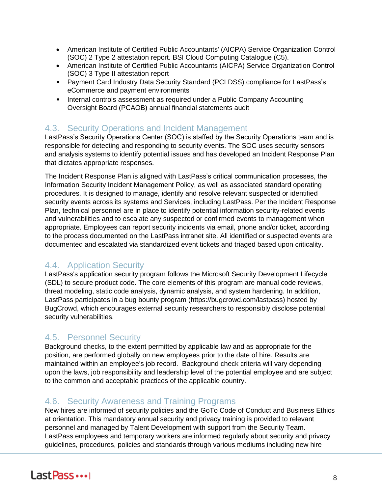- American Institute of Certified Public Accountants' (AICPA) Service Organization Control (SOC) 2 Type 2 attestation report. BSI Cloud Computing Catalogue (C5).
- American Institute of Certified Public Accountants (AICPA) Service Organization Control (SOC) 3 Type II attestation report
- Payment Card Industry Data Security Standard (PCI DSS) compliance for LastPass's eCommerce and payment environments
- Internal controls assessment as required under a Public Company Accounting Oversight Board (PCAOB) annual financial statements audit

### 4.3. Security Operations and Incident Management

LastPass's Security Operations Center (SOC) is staffed by the Security Operations team and is responsible for detecting and responding to security events. The SOC uses security sensors and analysis systems to identify potential issues and has developed an Incident Response Plan that dictates appropriate responses.

The Incident Response Plan is aligned with LastPass's critical communication processes, the Information Security Incident Management Policy, as well as associated standard operating procedures. It is designed to manage, identify and resolve relevant suspected or identified security events across its systems and Services, including LastPass. Per the Incident Response Plan, technical personnel are in place to identify potential information security-related events and vulnerabilities and to escalate any suspected or confirmed events to management when appropriate. Employees can report security incidents via email, phone and/or ticket, according to the process documented on the LastPass intranet site. All identified or suspected events are documented and escalated via standardized event tickets and triaged based upon criticality.

### 4.4. Application Security

LastPass's application security program follows the Microsoft Security Development Lifecycle (SDL) to secure product code. The core elements of this program are manual code reviews, threat modeling, static code analysis, dynamic analysis, and system hardening. In addition, LastPass participates in a bug bounty program (https://bugcrowd.com/lastpass) hosted by BugCrowd, which encourages external security researchers to responsibly disclose potential security vulnerabilities.

### 4.5. Personnel Security

Background checks, to the extent permitted by applicable law and as appropriate for the position, are performed globally on new employees prior to the date of hire. Results are maintained within an employee's job record. Background check criteria will vary depending upon the laws, job responsibility and leadership level of the potential employee and are subject to the common and acceptable practices of the applicable country.

### 4.6. Security Awareness and Training Programs

New hires are informed of security policies and the GoTo Code of Conduct and Business Ethics at orientation. This mandatory annual security and privacy training is provided to relevant personnel and managed by Talent Development with support from the Security Team. LastPass employees and temporary workers are informed regularly about security and privacy guidelines, procedures, policies and standards through various mediums including new hire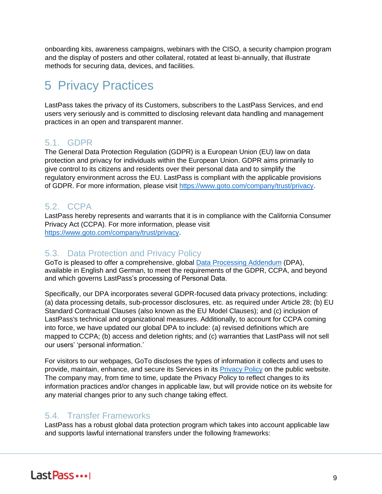onboarding kits, awareness campaigns, webinars with the CISO, a security champion program and the display of posters and other collateral, rotated at least bi-annually, that illustrate methods for securing data, devices, and facilities.

# 5 Privacy Practices

LastPass takes the privacy of its Customers, subscribers to the LastPass Services, and end users very seriously and is committed to disclosing relevant data handling and management practices in an open and transparent manner.

### 5.1. GDPR

The General Data Protection Regulation (GDPR) is a European Union (EU) law on data protection and privacy for individuals within the European Union. GDPR aims primarily to give control to its citizens and residents over their personal data and to simplify the regulatory environment across the EU. LastPass is compliant with the applicable provisions of GDPR. For more information, please visit [https://www.goto.com/company/trust/privacy.](https://www.goto.com/company/trust/privacy)

### 5.2. CCPA

LastPass hereby represents and warrants that it is in compliance with the California Consumer Privacy Act (CCPA). For more information, please visit [https://www.goto.com/company/trust/privacy.](https://www.goto.com/company/trust/privacy)

### 5.3. Data Protection and Privacy Policy

GoTo is pleased to offer a comprehensive, global [Data Processing Addendum](https://www.goto.com/company/legal) (DPA), available in [English](https://www.docusign.net/Member/PowerFormSigning.aspx?PowerFormId=87db4c61-3929-4ccb-ab58-b202e064c4a1) [a](https://www.docusign.net/Member/PowerFormSigning.aspx?PowerFormId=87db4c61-3929-4ccb-ab58-b202e064c4a1)nd [German,](https://www.docusign.net/Member/PowerFormSigning.aspx?PowerFormId=29541afa-3cf0-4d7c-90f8-e971a0866b8e&env=na1) to meet the requirements of the GDPR, CCPA, and beyond and which governs LastPass's processing of Personal Data.

Specifically, our DPA incorporates several GDPR-focused data privacy protections, including: (a) data processing details, sub-processor disclosures, etc. as required under Article 28; (b) EU Standard Contractual Clauses (also known as the EU Model Clauses); and (c) inclusion of LastPass's technical and organizational measures. Additionally, to account for CCPA coming into force, we have updated our global DPA to include: (a) revised definitions which are mapped to CCPA; (b) access and deletion rights; and (c) warranties that LastPass will not sell our users' 'personal information.'

For visitors to our webpages, GoTo discloses the types of information it collects and uses to provide, maintain, enhance, and secure its Services in its [Privacy Policy](https://www.goto.com/company/legal/privacy) on the public website. The company may, from time to time, update the Privacy Policy to reflect changes to its information practices and/or changes in applicable law, but will provide notice on its website for any material changes prior to any such change taking effect.

### 5.4. Transfer Frameworks

LastPass has a robust global data protection program which takes into account applicable law and supports lawful international transfers under the following frameworks: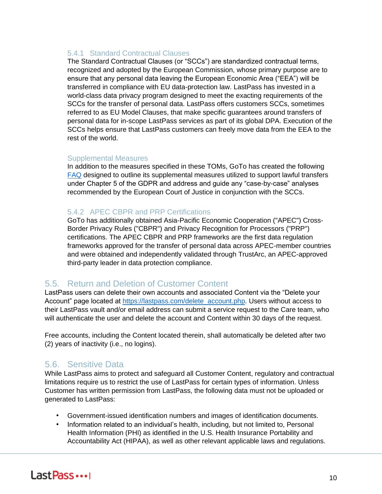#### 5.4.1 Standard Contractual Clauses

The Standard Contractual Clauses (or "SCCs") are standardized contractual terms, recognized and adopted by the European Commission, whose primary purpose are to ensure that any personal data leaving the European Economic Area ("EEA") will be transferred in compliance with EU data-protection law. LastPass has invested in a world-class data privacy program designed to meet the exacting requirements of the SCCs for the transfer of personal data. LastPass offers customers SCCs, sometimes referred to as EU Model Clauses, that make specific guarantees around transfers of personal data for in-scope LastPass services as part of its global DPA. Execution of the SCCs helps ensure that LastPass customers can freely move data from the EEA to the rest of the world.

#### Supplemental Measures

In addition to the measures specified in these TOMs, GoTo has created the following [FAQ](https://logmeincdn.azureedge.net/legal/international-data-transfers-faq.pdf) designed to outline its supplemental measures utilized to support lawful transfers under Chapter 5 of the GDPR and address and guide any "case-by-case" analyses recommended by the European Court of Justice in conjunction with the SCCs.

#### 5.4.2 APEC CBPR and PRP Certifications

GoTo has additionally obtained Asia-Pacific Economic Cooperation ("APEC") Cross-Border Privacy Rules ("CBPR") and Privacy Recognition for Processors ("PRP") certifications. The APEC CBPR and PRP frameworks are the first data regulation frameworks approved for the transfer of personal data across APEC-member countries and were obtained and independently validated through TrustArc, an APEC-approved third-party leader in data protection compliance.

#### 5.5. Return and Deletion of Customer Content

LastPass users can delete their own accounts and associated Content via the "Delete your Account" page located at [https://lastpass.com/delete\\_account.php.](https://lastpass.com/delete_account.php) Users without access to their LastPass vault and/or email address can submit a service request to the Care team, who will authenticate the user and delete the account and Content within 30 days of the request.

Free accounts, including the Content located therein, shall automatically be deleted after two (2) years of inactivity (i.e., no logins).

#### 5.6. Sensitive Data

While LastPass aims to protect and safeguard all Customer Content, regulatory and contractual limitations require us to restrict the use of LastPass for certain types of information. Unless Customer has written permission from LastPass, the following data must not be uploaded or generated to LastPass:

- Government-issued identification numbers and images of identification documents.
- Information related to an individual's health, including, but not limited to, Personal Health Information (PHI) as identified in the U.S. Health Insurance Portability and Accountability Act (HIPAA), as well as other relevant applicable laws and regulations.